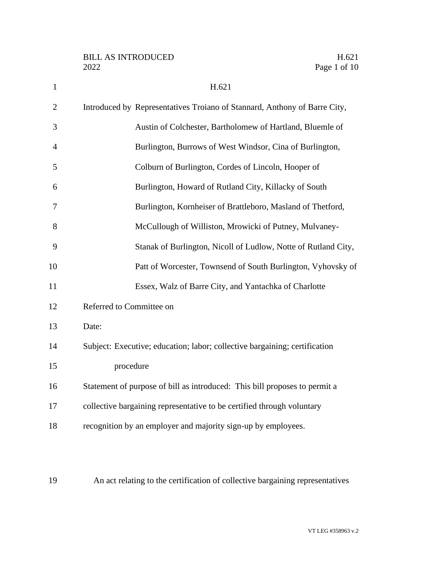| $\mathbf{1}$   | H.621                                                                      |
|----------------|----------------------------------------------------------------------------|
| $\overline{2}$ | Introduced by Representatives Troiano of Stannard, Anthony of Barre City,  |
| 3              | Austin of Colchester, Bartholomew of Hartland, Bluemle of                  |
| $\overline{4}$ | Burlington, Burrows of West Windsor, Cina of Burlington,                   |
| 5              | Colburn of Burlington, Cordes of Lincoln, Hooper of                        |
| 6              | Burlington, Howard of Rutland City, Killacky of South                      |
| 7              | Burlington, Kornheiser of Brattleboro, Masland of Thetford,                |
| 8              | McCullough of Williston, Mrowicki of Putney, Mulvaney-                     |
| 9              | Stanak of Burlington, Nicoll of Ludlow, Notte of Rutland City,             |
| 10             | Patt of Worcester, Townsend of South Burlington, Vyhovsky of               |
| 11             | Essex, Walz of Barre City, and Yantachka of Charlotte                      |
| 12             | Referred to Committee on                                                   |
| 13             | Date:                                                                      |
| 14             | Subject: Executive; education; labor; collective bargaining; certification |
| 15             | procedure                                                                  |
| 16             | Statement of purpose of bill as introduced: This bill proposes to permit a |
| 17             | collective bargaining representative to be certified through voluntary     |
| 18             | recognition by an employer and majority sign-up by employees.              |
|                |                                                                            |
|                |                                                                            |

An act relating to the certification of collective bargaining representatives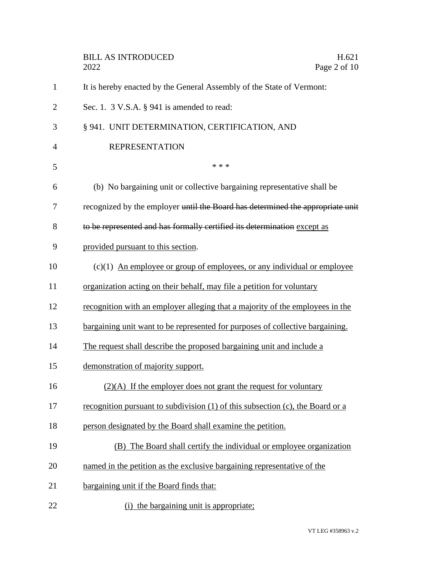|                | <b>BILL AS INTRODUCED</b><br>H.621<br>2022<br>Page 2 of 10                          |
|----------------|-------------------------------------------------------------------------------------|
| $\mathbf{1}$   | It is hereby enacted by the General Assembly of the State of Vermont:               |
| $\overline{2}$ | Sec. 1. $3$ V.S.A. $\S$ 941 is amended to read:                                     |
| 3              | § 941. UNIT DETERMINATION, CERTIFICATION, AND                                       |
| 4              | <b>REPRESENTATION</b>                                                               |
| 5              | * * *                                                                               |
| 6              | (b) No bargaining unit or collective bargaining representative shall be             |
| 7              | recognized by the employer until the Board has determined the appropriate unit      |
| 8              | to be represented and has formally certified its determination except as            |
| 9              | provided pursuant to this section.                                                  |
| 10             | $(c)(1)$ An employee or group of employees, or any individual or employee           |
| 11             | organization acting on their behalf, may file a petition for voluntary              |
| 12             | recognition with an employer alleging that a majority of the employees in the       |
| 13             | bargaining unit want to be represented for purposes of collective bargaining.       |
| 14             | The request shall describe the proposed bargaining unit and include a               |
| 15             | demonstration of majority support.                                                  |
| 16             | $(2)(A)$ If the employer does not grant the request for voluntary                   |
| 17             | recognition pursuant to subdivision $(1)$ of this subsection $(c)$ , the Board or a |
| 18             | person designated by the Board shall examine the petition.                          |
| 19             | (B) The Board shall certify the individual or employee organization                 |
| 20             | named in the petition as the exclusive bargaining representative of the             |
| 21             | bargaining unit if the Board finds that:                                            |
| 22             | (i) the bargaining unit is appropriate;                                             |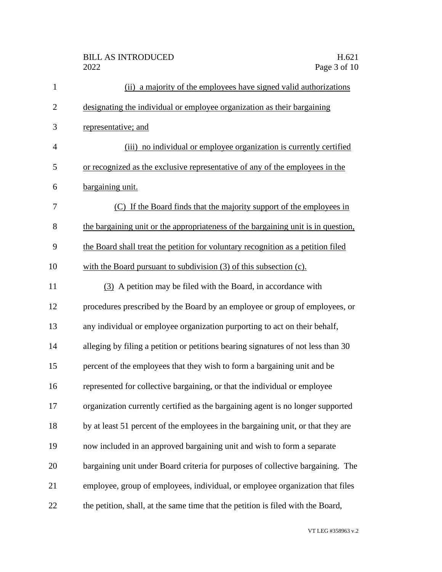| $\mathbf{1}$ | (ii) a majority of the employees have signed valid authorizations                 |
|--------------|-----------------------------------------------------------------------------------|
| $\mathbf{2}$ | designating the individual or employee organization as their bargaining           |
| 3            | representative; and                                                               |
| 4            | (iii) no individual or employee organization is currently certified               |
| 5            | or recognized as the exclusive representative of any of the employees in the      |
| 6            | bargaining unit.                                                                  |
| 7            | (C) If the Board finds that the majority support of the employees in              |
| 8            | the bargaining unit or the appropriateness of the bargaining unit is in question, |
| 9            | the Board shall treat the petition for voluntary recognition as a petition filed  |
| 10           | with the Board pursuant to subdivision (3) of this subsection (c).                |
| 11           | (3) A petition may be filed with the Board, in accordance with                    |
| 12           | procedures prescribed by the Board by an employee or group of employees, or       |
| 13           | any individual or employee organization purporting to act on their behalf,        |
| 14           | alleging by filing a petition or petitions bearing signatures of not less than 30 |
| 15           | percent of the employees that they wish to form a bargaining unit and be          |
| 16           | represented for collective bargaining, or that the individual or employee         |
| 17           | organization currently certified as the bargaining agent is no longer supported   |
| 18           | by at least 51 percent of the employees in the bargaining unit, or that they are  |
| 19           | now included in an approved bargaining unit and wish to form a separate           |
| 20           | bargaining unit under Board criteria for purposes of collective bargaining. The   |
| 21           | employee, group of employees, individual, or employee organization that files     |
| 22           | the petition, shall, at the same time that the petition is filed with the Board,  |

VT LEG #358963 v.2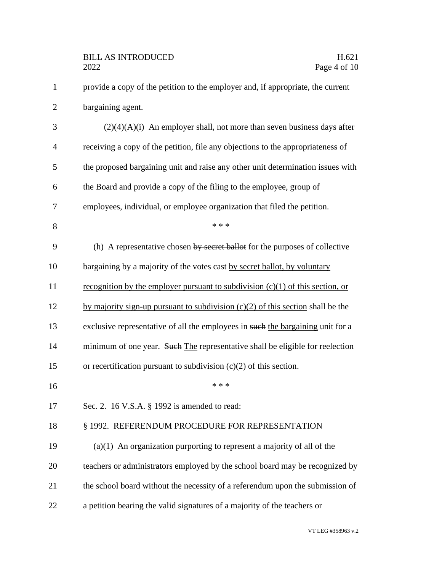| $\mathbf{1}$   | provide a copy of the petition to the employer and, if appropriate, the current                |
|----------------|------------------------------------------------------------------------------------------------|
| $\overline{c}$ | bargaining agent.                                                                              |
| 3              | $\left(\frac{2}{2}(4)(A)(i)\right)$ An employer shall, not more than seven business days after |
| $\overline{4}$ | receiving a copy of the petition, file any objections to the appropriateness of                |
| 5              | the proposed bargaining unit and raise any other unit determination issues with                |
| 6              | the Board and provide a copy of the filing to the employee, group of                           |
| 7              | employees, individual, or employee organization that filed the petition.                       |
| 8              | * * *                                                                                          |
| 9              | (h) A representative chosen by secret ballot for the purposes of collective                    |
| 10             | bargaining by a majority of the votes cast by secret ballot, by voluntary                      |
| 11             | recognition by the employer pursuant to subdivision $(c)(1)$ of this section, or               |
| 12             | by majority sign-up pursuant to subdivision $(c)(2)$ of this section shall be the              |
| 13             | exclusive representative of all the employees in such the bargaining unit for a                |
| 14             | minimum of one year. Such The representative shall be eligible for reelection                  |
| 15             | or recertification pursuant to subdivision $(c)(2)$ of this section.                           |
| 16             | * * *                                                                                          |
| 17             | Sec. 2. 16 V.S.A. § 1992 is amended to read:                                                   |
| 18             | § 1992. REFERENDUM PROCEDURE FOR REPRESENTATION                                                |
| 19             | $(a)(1)$ An organization purporting to represent a majority of all of the                      |
| 20             | teachers or administrators employed by the school board may be recognized by                   |
| 21             | the school board without the necessity of a referendum upon the submission of                  |
| 22             | a petition bearing the valid signatures of a majority of the teachers or                       |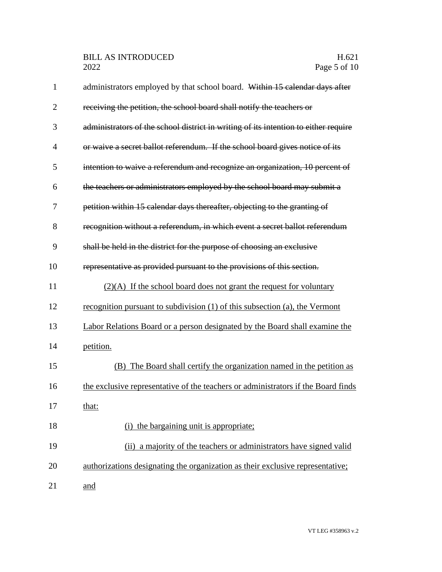| $\mathbf{1}$   | administrators employed by that school board. Within 15 calendar days after         |
|----------------|-------------------------------------------------------------------------------------|
| $\overline{2}$ | receiving the petition, the school board shall notify the teachers or               |
| 3              | administrators of the school district in writing of its intention to either require |
| $\overline{4}$ | or waive a secret ballot referendum. If the school board gives notice of its        |
| 5              | intention to waive a referendum and recognize an organization, 10 percent of        |
| 6              | the teachers or administrators employed by the school board may submit a            |
| 7              | petition within 15 calendar days thereafter, objecting to the granting of           |
| 8              | recognition without a referendum, in which event a secret ballot referendum         |
| 9              | shall be held in the district for the purpose of choosing an exclusive              |
| 10             | representative as provided pursuant to the provisions of this section.              |
| 11             | $(2)(A)$ If the school board does not grant the request for voluntary               |
| 12             | recognition pursuant to subdivision (1) of this subsection (a), the Vermont         |
| 13             | Labor Relations Board or a person designated by the Board shall examine the         |
| 14             | petition.                                                                           |
| 15             | (B) The Board shall certify the organization named in the petition as               |
| 16             | the exclusive representative of the teachers or administrators if the Board finds   |
| 17             | that:                                                                               |
| 18             | the bargaining unit is appropriate;                                                 |
| 19             | (ii) a majority of the teachers or administrators have signed valid                 |
| 20             | authorizations designating the organization as their exclusive representative;      |
| 21             | and                                                                                 |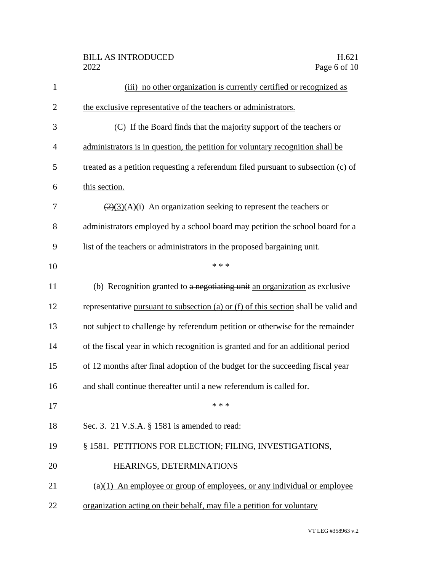| $\mathbf{1}$   | (iii) no other organization is currently certified or recognized as                   |
|----------------|---------------------------------------------------------------------------------------|
| $\overline{2}$ | the exclusive representative of the teachers or administrators.                       |
| 3              | (C) If the Board finds that the majority support of the teachers or                   |
| 4              | administrators is in question, the petition for voluntary recognition shall be        |
| 5              | treated as a petition requesting a referendum filed pursuant to subsection (c) of     |
| 6              | this section.                                                                         |
| 7              | $\left(\frac{2}{3}(A)(i)\right)$ An organization seeking to represent the teachers or |
| 8              | administrators employed by a school board may petition the school board for a         |
| 9              | list of the teachers or administrators in the proposed bargaining unit.               |
| 10             | * * *                                                                                 |
| 11             | (b) Recognition granted to a negotiating unit an organization as exclusive            |
| 12             | representative pursuant to subsection (a) or (f) of this section shall be valid and   |
| 13             | not subject to challenge by referendum petition or otherwise for the remainder        |
| 14             | of the fiscal year in which recognition is granted and for an additional period       |
| 15             | of 12 months after final adoption of the budget for the succeeding fiscal year        |
| 16             | and shall continue thereafter until a new referendum is called for.                   |
| 17             | * * *                                                                                 |
| 18             | Sec. 3. 21 V.S.A. § 1581 is amended to read:                                          |
| 19             | § 1581. PETITIONS FOR ELECTION; FILING, INVESTIGATIONS,                               |
| 20             | HEARINGS, DETERMINATIONS                                                              |
| 21             | $(a)(1)$ An employee or group of employees, or any individual or employee             |
| 22             | organization acting on their behalf, may file a petition for voluntary                |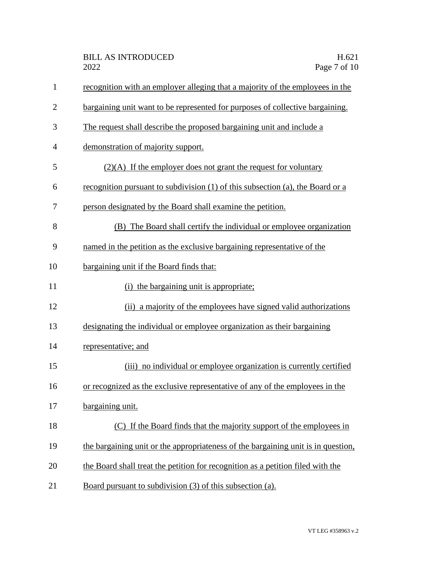| $\mathbf{1}$   | recognition with an employer alleging that a majority of the employees in the     |
|----------------|-----------------------------------------------------------------------------------|
| $\overline{2}$ | bargaining unit want to be represented for purposes of collective bargaining.     |
| 3              | The request shall describe the proposed bargaining unit and include a             |
| $\overline{4}$ | demonstration of majority support.                                                |
| 5              | $(2)(A)$ If the employer does not grant the request for voluntary                 |
| 6              | recognition pursuant to subdivision (1) of this subsection (a), the Board or a    |
| 7              | person designated by the Board shall examine the petition.                        |
| 8              | (B) The Board shall certify the individual or employee organization               |
| 9              | named in the petition as the exclusive bargaining representative of the           |
| 10             | bargaining unit if the Board finds that:                                          |
| 11             | the bargaining unit is appropriate;<br>(i)                                        |
| 12             | (ii) a majority of the employees have signed valid authorizations                 |
| 13             | designating the individual or employee organization as their bargaining           |
| 14             | representative; and                                                               |
| 15             | (iii) no individual or employee organization is currently certified               |
| 16             | or recognized as the exclusive representative of any of the employees in the      |
| 17             | bargaining unit.                                                                  |
| 18             | (C) If the Board finds that the majority support of the employees in              |
| 19             | the bargaining unit or the appropriateness of the bargaining unit is in question, |
| 20             | the Board shall treat the petition for recognition as a petition filed with the   |
| 21             | Board pursuant to subdivision (3) of this subsection (a).                         |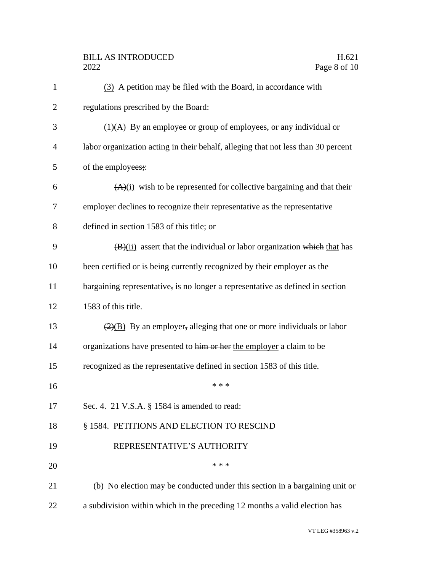| $\mathbf{1}$   | (3) A petition may be filed with the Board, in accordance with                    |
|----------------|-----------------------------------------------------------------------------------|
| $\overline{2}$ | regulations prescribed by the Board:                                              |
| 3              | $\overline{(4)(A)}$ By an employee or group of employees, or any individual or    |
| $\overline{4}$ | labor organization acting in their behalf, alleging that not less than 30 percent |
| 5              | of the employees;                                                                 |
| 6              | $(A)(i)$ wish to be represented for collective bargaining and that their          |
| 7              | employer declines to recognize their representative as the representative         |
| 8              | defined in section 1583 of this title; or                                         |
| 9              | $(\frac{B}{ii})$ assert that the individual or labor organization which that has  |
| 10             | been certified or is being currently recognized by their employer as the          |
| 11             | bargaining representative, is no longer a representative as defined in section    |
| 12             | 1583 of this title.                                                               |
| 13             | $\frac{2}{2}$ By an employer, alleging that one or more individuals or labor      |
| 14             | organizations have presented to him or her the employer a claim to be             |
| 15             | recognized as the representative defined in section 1583 of this title.           |
| 16             | * * *                                                                             |
| 17             | Sec. 4. 21 V.S.A. § 1584 is amended to read:                                      |
| 18             | § 1584. PETITIONS AND ELECTION TO RESCIND                                         |
| 19             | REPRESENTATIVE'S AUTHORITY                                                        |
| 20             | * * *                                                                             |
| 21             | (b) No election may be conducted under this section in a bargaining unit or       |
| 22             | a subdivision within which in the preceding 12 months a valid election has        |
|                |                                                                                   |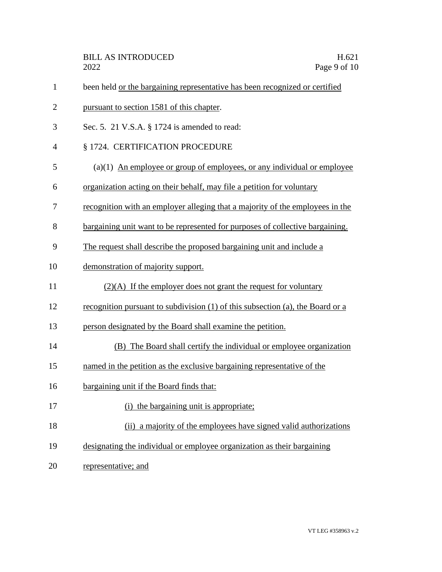| $\mathbf{1}$   | been held or the bargaining representative has been recognized or certified    |
|----------------|--------------------------------------------------------------------------------|
| $\overline{2}$ | pursuant to section 1581 of this chapter.                                      |
| 3              | Sec. 5. 21 V.S.A. § 1724 is amended to read:                                   |
| 4              | § 1724. CERTIFICATION PROCEDURE                                                |
| 5              | $(a)(1)$ An employee or group of employees, or any individual or employee      |
| 6              | organization acting on their behalf, may file a petition for voluntary         |
| 7              | recognition with an employer alleging that a majority of the employees in the  |
| 8              | bargaining unit want to be represented for purposes of collective bargaining.  |
| 9              | The request shall describe the proposed bargaining unit and include a          |
| 10             | demonstration of majority support.                                             |
| 11             | $(2)(A)$ If the employer does not grant the request for voluntary              |
| 12             | recognition pursuant to subdivision (1) of this subsection (a), the Board or a |
| 13             | person designated by the Board shall examine the petition.                     |
| 14             | (B) The Board shall certify the individual or employee organization            |
| 15             | named in the petition as the exclusive bargaining representative of the        |
| 16             | bargaining unit if the Board finds that:                                       |
| 17             | (i) the bargaining unit is appropriate;                                        |
| 18             | (ii) a majority of the employees have signed valid authorizations              |
| 19             | designating the individual or employee organization as their bargaining        |
| 20             | representative; and                                                            |
|                |                                                                                |